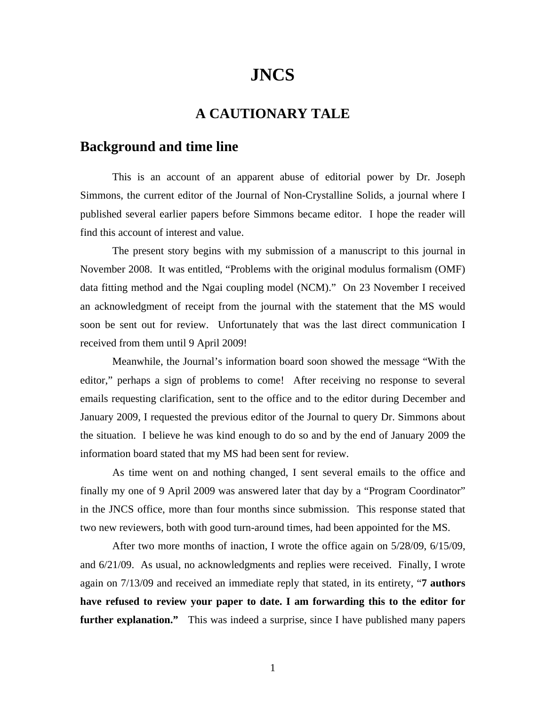## **JNCS**

## **A CAUTIONARY TALE**

## **Background and time line**

This is an account of an apparent abuse of editorial power by Dr. Joseph Simmons, the current editor of the Journal of Non-Crystalline Solids, a journal where I published several earlier papers before Simmons became editor. I hope the reader will find this account of interest and value.

The present story begins with my submission of a manuscript to this journal in November 2008. It was entitled, "Problems with the original modulus formalism (OMF) data fitting method and the Ngai coupling model (NCM)." On 23 November I received an acknowledgment of receipt from the journal with the statement that the MS would soon be sent out for review. Unfortunately that was the last direct communication I received from them until 9 April 2009!

Meanwhile, the Journal's information board soon showed the message "With the editor," perhaps a sign of problems to come! After receiving no response to several emails requesting clarification, sent to the office and to the editor during December and January 2009, I requested the previous editor of the Journal to query Dr. Simmons about the situation. I believe he was kind enough to do so and by the end of January 2009 the information board stated that my MS had been sent for review.

As time went on and nothing changed, I sent several emails to the office and finally my one of 9 April 2009 was answered later that day by a "Program Coordinator" in the JNCS office, more than four months since submission. This response stated that two new reviewers, both with good turn-around times, had been appointed for the MS.

After two more months of inaction, I wrote the office again on 5/28/09, 6/15/09, and 6/21/09. As usual, no acknowledgments and replies were received. Finally, I wrote again on 7/13/09 and received an immediate reply that stated, in its entirety, "**7 authors have refused to review your paper to date. I am forwarding this to the editor for further explanation."** This was indeed a surprise, since I have published many papers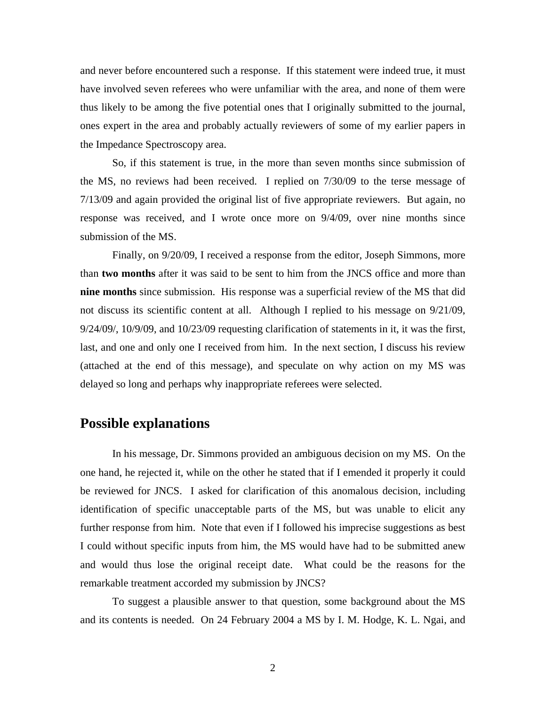and never before encountered such a response. If this statement were indeed true, it must have involved seven referees who were unfamiliar with the area, and none of them were thus likely to be among the five potential ones that I originally submitted to the journal, ones expert in the area and probably actually reviewers of some of my earlier papers in the Impedance Spectroscopy area.

So, if this statement is true, in the more than seven months since submission of the MS, no reviews had been received. I replied on 7/30/09 to the terse message of 7/13/09 and again provided the original list of five appropriate reviewers. But again, no response was received, and I wrote once more on 9/4/09, over nine months since submission of the MS.

Finally, on 9/20/09, I received a response from the editor, Joseph Simmons, more than **two months** after it was said to be sent to him from the JNCS office and more than **nine months** since submission. His response was a superficial review of the MS that did not discuss its scientific content at all. Although I replied to his message on 9/21/09, 9/24/09/, 10/9/09, and 10/23/09 requesting clarification of statements in it, it was the first, last, and one and only one I received from him. In the next section, I discuss his review (attached at the end of this message), and speculate on why action on my MS was delayed so long and perhaps why inappropriate referees were selected.

## **Possible explanations**

In his message, Dr. Simmons provided an ambiguous decision on my MS. On the one hand, he rejected it, while on the other he stated that if I emended it properly it could be reviewed for JNCS. I asked for clarification of this anomalous decision, including identification of specific unacceptable parts of the MS, but was unable to elicit any further response from him. Note that even if I followed his imprecise suggestions as best I could without specific inputs from him, the MS would have had to be submitted anew and would thus lose the original receipt date. What could be the reasons for the remarkable treatment accorded my submission by JNCS?

 To suggest a plausible answer to that question, some background about the MS and its contents is needed. On 24 February 2004 a MS by I. M. Hodge, K. L. Ngai, and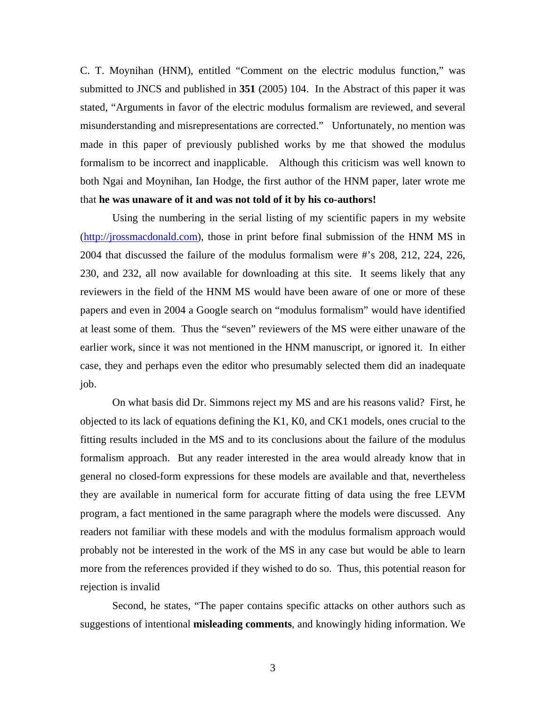C. T. Moynihan (HNM), entitled "Comment on the electric modulus function," was submitted to JNCS and published in **351** (2005) 104. In the Abstract of this paper it was stated, "Arguments in favor of the electric modulus formalism are reviewed, and several misunderstanding and misrepresentations are corrected." Unfortunately, no mention was made in this paper of previously published works by me that showed the modulus formalism to be incorrect and inapplicable. Although this criticism was well known to both Ngai and Moynihan, Ian Hodge, the first author of the HNM paper, later wrote me that **he was unaware of it and was not told of it by his co-authors!** 

Using the numbering in the serial listing of my scientific papers in my website (http://jrossmacdonald.com), those in print before final submission of the HNM MS in 2004 that discussed the failure of the modulus formalism were #'s 208, 212, 224, 226, 230, and 232, all now available for downloading at this site. It seems likely that any reviewers in the field of the HNM MS would have been aware of one or more of these papers and even in 2004 a Google search on "modulus formalism" would have identified at least some of them. Thus the "seven" reviewers of the MS were either unaware of the earlier work, since it was not mentioned in the HNM manuscript, or ignored it. In either case, they and perhaps even the editor who presumably selected them did an inadequate job.

On what basis did Dr. Simmons reject my MS and are his reasons valid? First, he objected to its lack of equations defining the K1, K0, and CK1 models, ones crucial to the fitting results included in the MS and to its conclusions about the failure of the modulus formalism approach. But any reader interested in the area would already know that in general no closed-form expressions for these models are available and that, nevertheless they are available in numerical form for accurate fitting of data using the free LEVM program, a fact mentioned in the same paragraph where the models were discussed. Any readers not familiar with these models and with the modulus formalism approach would probably not be interested in the work of the MS in any case but would be able to learn more from the references provided if they wished to do so. Thus, this potential reason for rejection is invalid

Second, he states, "The paper contains specific attacks on other authors such as suggestions of intentional **misleading comments**, and knowingly hiding information. We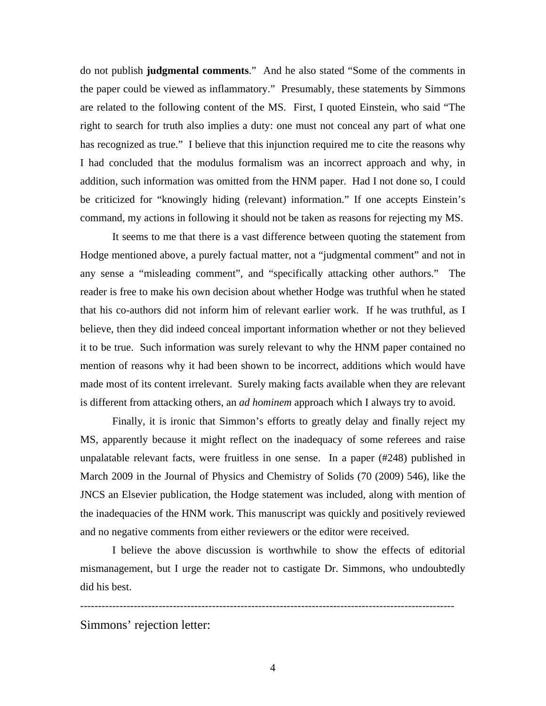do not publish **judgmental comments**." And he also stated "Some of the comments in the paper could be viewed as inflammatory." Presumably, these statements by Simmons are related to the following content of the MS. First, I quoted Einstein, who said "The right to search for truth also implies a duty: one must not conceal any part of what one has recognized as true." I believe that this injunction required me to cite the reasons why I had concluded that the modulus formalism was an incorrect approach and why, in addition, such information was omitted from the HNM paper. Had I not done so, I could be criticized for "knowingly hiding (relevant) information." If one accepts Einstein's command, my actions in following it should not be taken as reasons for rejecting my MS.

It seems to me that there is a vast difference between quoting the statement from Hodge mentioned above, a purely factual matter, not a "judgmental comment" and not in any sense a "misleading comment", and "specifically attacking other authors." The reader is free to make his own decision about whether Hodge was truthful when he stated that his co-authors did not inform him of relevant earlier work. If he was truthful, as I believe, then they did indeed conceal important information whether or not they believed it to be true. Such information was surely relevant to why the HNM paper contained no mention of reasons why it had been shown to be incorrect, additions which would have made most of its content irrelevant. Surely making facts available when they are relevant is different from attacking others, an *ad hominem* approach which I always try to avoid.

Finally, it is ironic that Simmon's efforts to greatly delay and finally reject my MS, apparently because it might reflect on the inadequacy of some referees and raise unpalatable relevant facts, were fruitless in one sense. In a paper (#248) published in March 2009 in the Journal of Physics and Chemistry of Solids (70 (2009) 546), like the JNCS an Elsevier publication, the Hodge statement was included, along with mention of the inadequacies of the HNM work. This manuscript was quickly and positively reviewed and no negative comments from either reviewers or the editor were received.

I believe the above discussion is worthwhile to show the effects of editorial mismanagement, but I urge the reader not to castigate Dr. Simmons, who undoubtedly did his best.

---------------------------------------------------------------------------------------------------------

Simmons' rejection letter: